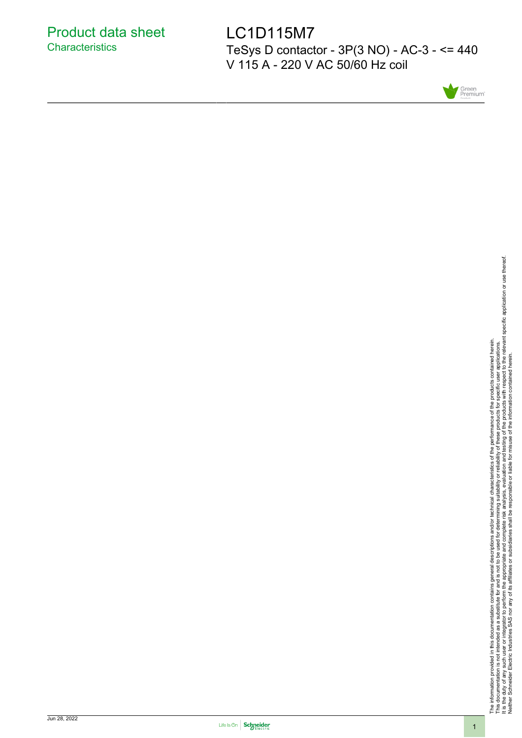<span id="page-0-0"></span>LC1D115M7 TeSys D contactor - 3P(3 NO) - AC-3 - <= 440 V 115 A - 220 V AC 50/60 Hz coil



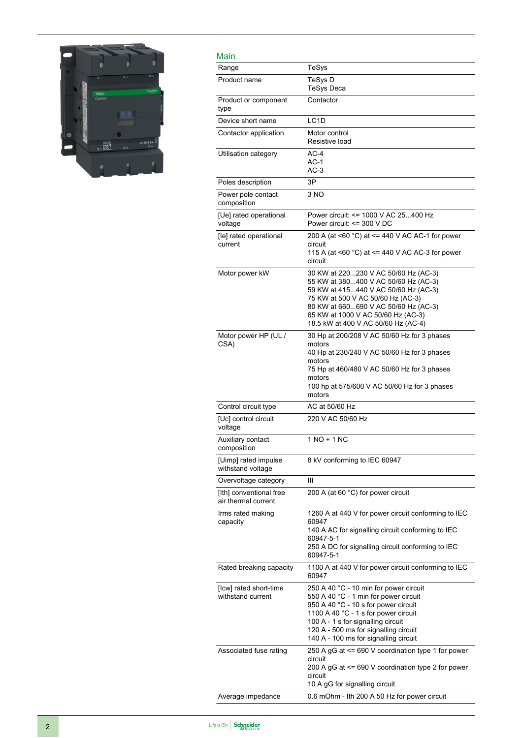

| Main                                           |                                                                                                                                                                                                                                                                                         |  |
|------------------------------------------------|-----------------------------------------------------------------------------------------------------------------------------------------------------------------------------------------------------------------------------------------------------------------------------------------|--|
| Range                                          | <b>TeSys</b>                                                                                                                                                                                                                                                                            |  |
| Product name                                   | TeSys D<br>TeSys Deca                                                                                                                                                                                                                                                                   |  |
| Product or component<br>type                   | Contactor                                                                                                                                                                                                                                                                               |  |
| Device short name                              | LC1D                                                                                                                                                                                                                                                                                    |  |
| Contactor application                          | Motor control<br>Resistive load                                                                                                                                                                                                                                                         |  |
| Utilisation category                           | $AC-4$<br>AC-1<br>$AC-3$                                                                                                                                                                                                                                                                |  |
| Poles description                              | 3P                                                                                                                                                                                                                                                                                      |  |
| Power pole contact<br>composition              | 3 NO                                                                                                                                                                                                                                                                                    |  |
| [Ue] rated operational<br>voltage              | Power circuit: <= 1000 V AC 25400 Hz<br>Power circuit: <= 300 V DC                                                                                                                                                                                                                      |  |
| [le] rated operational<br>current              | 200 A (at <60 $^{\circ}$ C) at <= 440 V AC AC-1 for power<br>circuit<br>115 A (at $\leq 60$ °C) at $\leq$ 440 V AC AC-3 for power<br>circuit                                                                                                                                            |  |
| Motor power kW                                 | 30 KW at 220230 V AC 50/60 Hz (AC-3)<br>55 KW at 380400 V AC 50/60 Hz (AC-3)<br>59 KW at 415440 V AC 50/60 Hz (AC-3)<br>75 KW at 500 V AC 50/60 Hz (AC-3)<br>80 KW at 660690 V AC 50/60 Hz (AC-3)<br>65 KW at 1000 V AC 50/60 Hz (AC-3)<br>18.5 kW at 400 V AC 50/60 Hz (AC-4)          |  |
| Motor power HP (UL /<br>CSA)                   | 30 Hp at 200/208 V AC 50/60 Hz for 3 phases<br>motors<br>40 Hp at 230/240 V AC 50/60 Hz for 3 phases<br>motors<br>75 Hp at 460/480 V AC 50/60 Hz for 3 phases<br>motors<br>100 hp at 575/600 V AC 50/60 Hz for 3 phases<br>motors                                                       |  |
| Control circuit type                           | AC at 50/60 Hz                                                                                                                                                                                                                                                                          |  |
| [Uc] control circuit<br>voltage                | 220 V AC 50/60 Hz                                                                                                                                                                                                                                                                       |  |
| Auxiliary contact<br>composition               | 1 NO + 1 NC                                                                                                                                                                                                                                                                             |  |
| [Uimp] rated impulse<br>withstand voltage      | 8 kV conforming to IEC 60947                                                                                                                                                                                                                                                            |  |
| Overvoltage category                           | Ш                                                                                                                                                                                                                                                                                       |  |
| [Ith] conventional free<br>air thermal current | 200 A (at 60 °C) for power circuit                                                                                                                                                                                                                                                      |  |
| Irms rated making<br>capacity                  | 1260 A at 440 V for power circuit conforming to IEC<br>60947<br>140 A AC for signalling circuit conforming to IEC<br>60947-5-1<br>250 A DC for signalling circuit conforming to IEC<br>60947-5-1                                                                                        |  |
| Rated breaking capacity                        | 1100 A at 440 V for power circuit conforming to IEC<br>60947                                                                                                                                                                                                                            |  |
| [Icw] rated short-time<br>withstand current    | 250 A 40 °C - 10 min for power circuit<br>550 A 40 °C - 1 min for power circuit<br>950 A 40 °C - 10 s for power circuit<br>1100 A 40 °C - 1 s for power circuit<br>100 A - 1 s for signalling circuit<br>120 A - 500 ms for signalling circuit<br>140 A - 100 ms for signalling circuit |  |
| Associated fuse rating                         | 250 A gG at <= 690 V coordination type 1 for power<br>circuit<br>200 A gG at <= 690 V coordination type 2 for power<br>circuit<br>10 A gG for signalling circuit                                                                                                                        |  |
|                                                |                                                                                                                                                                                                                                                                                         |  |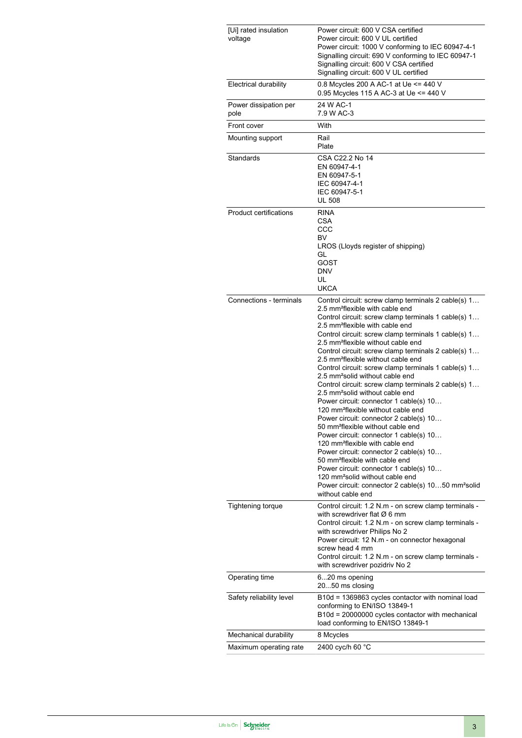| [Ui] rated insulation<br>voltage | Power circuit: 600 V CSA certified<br>Power circuit: 600 V UL certified<br>Power circuit: 1000 V conforming to IEC 60947-4-1<br>Signalling circuit: 690 V conforming to IEC 60947-1<br>Signalling circuit: 600 V CSA certified<br>Signalling circuit: 600 V UL certified                                                                                                                                                                                                                                                                                                                                                                                                                                                                                                                                                                                                                                                                                                                                                                                                                                                                                                                        |  |
|----------------------------------|-------------------------------------------------------------------------------------------------------------------------------------------------------------------------------------------------------------------------------------------------------------------------------------------------------------------------------------------------------------------------------------------------------------------------------------------------------------------------------------------------------------------------------------------------------------------------------------------------------------------------------------------------------------------------------------------------------------------------------------------------------------------------------------------------------------------------------------------------------------------------------------------------------------------------------------------------------------------------------------------------------------------------------------------------------------------------------------------------------------------------------------------------------------------------------------------------|--|
| Electrical durability            | 0.8 Mcycles 200 A AC-1 at Ue <= 440 V<br>0.95 Mcycles 115 A AC-3 at Ue <= 440 V                                                                                                                                                                                                                                                                                                                                                                                                                                                                                                                                                                                                                                                                                                                                                                                                                                                                                                                                                                                                                                                                                                                 |  |
| Power dissipation per<br>pole    | 24 W AC-1<br>7.9 W AC-3                                                                                                                                                                                                                                                                                                                                                                                                                                                                                                                                                                                                                                                                                                                                                                                                                                                                                                                                                                                                                                                                                                                                                                         |  |
| Front cover                      | With                                                                                                                                                                                                                                                                                                                                                                                                                                                                                                                                                                                                                                                                                                                                                                                                                                                                                                                                                                                                                                                                                                                                                                                            |  |
| Mounting support                 | Rail<br>Plate                                                                                                                                                                                                                                                                                                                                                                                                                                                                                                                                                                                                                                                                                                                                                                                                                                                                                                                                                                                                                                                                                                                                                                                   |  |
| Standards                        | CSA C22.2 No 14<br>EN 60947-4-1<br>EN 60947-5-1<br>IEC 60947-4-1<br>IEC 60947-5-1<br><b>UL 508</b>                                                                                                                                                                                                                                                                                                                                                                                                                                                                                                                                                                                                                                                                                                                                                                                                                                                                                                                                                                                                                                                                                              |  |
| <b>Product certifications</b>    | <b>RINA</b><br>CSA<br>CCC<br>BV<br>LROS (Lloyds register of shipping)<br>GL<br>GOST<br><b>DNV</b><br>UL<br><b>UKCA</b>                                                                                                                                                                                                                                                                                                                                                                                                                                                                                                                                                                                                                                                                                                                                                                                                                                                                                                                                                                                                                                                                          |  |
| Connections - terminals          | Control circuit: screw clamp terminals 2 cable(s) 1<br>2.5 mm <sup>2</sup> flexible with cable end<br>Control circuit: screw clamp terminals 1 cable(s) 1<br>2.5 mm <sup>2</sup> flexible with cable end<br>Control circuit: screw clamp terminals 1 cable(s) 1<br>2.5 mm <sup>2</sup> flexible without cable end<br>Control circuit: screw clamp terminals 2 cable(s) 1<br>2.5 mm <sup>2</sup> flexible without cable end<br>Control circuit: screw clamp terminals 1 cable(s) 1<br>2.5 mm <sup>2</sup> solid without cable end<br>Control circuit: screw clamp terminals 2 cable(s) 1<br>2.5 mm <sup>2</sup> solid without cable end<br>Power circuit: connector 1 cable(s) 10<br>120 mm <sup>2</sup> flexible without cable end<br>Power circuit: connector 2 cable(s) 10.<br>50 mm <sup>2</sup> flexible without cable end<br>Power circuit: connector 1 cable(s) 10<br>120 mm <sup>2</sup> flexible with cable end<br>Power circuit: connector 2 cable(s) 10<br>50 mm <sup>2</sup> flexible with cable end<br>Power circuit: connector 1 cable(s) 10<br>120 mm <sup>2</sup> solid without cable end<br>Power circuit: connector 2 cable(s) 1050 mm <sup>2</sup> solid<br>without cable end |  |
| <b>Tightening torque</b>         | Control circuit: 1.2 N.m - on screw clamp terminals -<br>with screwdriver flat $\varnothing$ 6 mm<br>Control circuit: 1.2 N.m - on screw clamp terminals -<br>with screwdriver Philips No 2<br>Power circuit: 12 N.m - on connector hexagonal<br>screw head 4 mm<br>Control circuit: 1.2 N.m - on screw clamp terminals -<br>with screwdriver pozidriv No 2                                                                                                                                                                                                                                                                                                                                                                                                                                                                                                                                                                                                                                                                                                                                                                                                                                     |  |
| Operating time                   | 620 ms opening<br>2050 ms closing                                                                                                                                                                                                                                                                                                                                                                                                                                                                                                                                                                                                                                                                                                                                                                                                                                                                                                                                                                                                                                                                                                                                                               |  |
| Safety reliability level         | B10d = 1369863 cycles contactor with nominal load<br>conforming to EN/ISO 13849-1<br>B10d = 20000000 cycles contactor with mechanical<br>load conforming to EN/ISO 13849-1                                                                                                                                                                                                                                                                                                                                                                                                                                                                                                                                                                                                                                                                                                                                                                                                                                                                                                                                                                                                                      |  |
| Mechanical durability            | 8 Mcycles                                                                                                                                                                                                                                                                                                                                                                                                                                                                                                                                                                                                                                                                                                                                                                                                                                                                                                                                                                                                                                                                                                                                                                                       |  |
| Maximum operating rate           | 2400 cyc/h 60 °C                                                                                                                                                                                                                                                                                                                                                                                                                                                                                                                                                                                                                                                                                                                                                                                                                                                                                                                                                                                                                                                                                                                                                                                |  |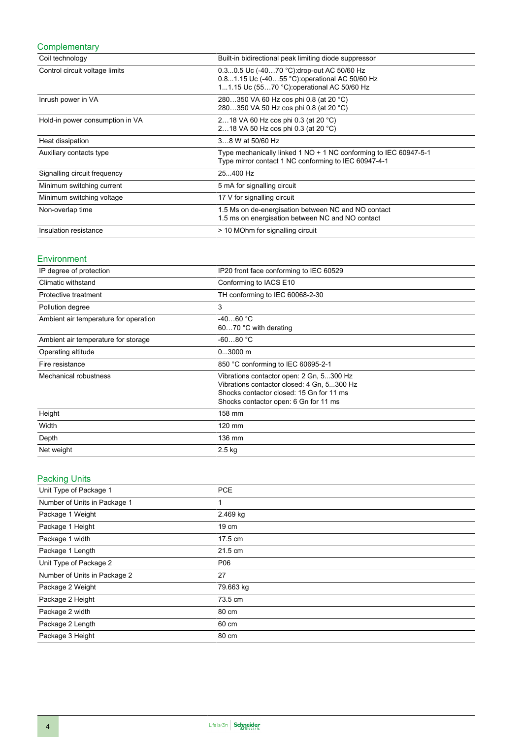### **Complementary**

| Coil technology                 | Built-in bidirectional peak limiting diode suppressor                                                                                     |  |
|---------------------------------|-------------------------------------------------------------------------------------------------------------------------------------------|--|
| Control circuit voltage limits  | 0.30.5 Uc (-4070 °C): drop-out AC 50/60 Hz<br>0.81.15 Uc (-4055 °C) operational AC 50/60 Hz<br>11.15 Uc (5570 °C):operational AC 50/60 Hz |  |
| Inrush power in VA              | 280350 VA 60 Hz cos phi 0.8 (at 20 °C)<br>280350 VA 50 Hz cos phi 0.8 (at 20 °C)                                                          |  |
| Hold-in power consumption in VA | 218 VA 60 Hz cos phi 0.3 (at 20 °C)<br>218 VA 50 Hz cos phi 0.3 (at 20 °C)                                                                |  |
| Heat dissipation                | 38 W at 50/60 Hz                                                                                                                          |  |
| Auxiliary contacts type         | Type mechanically linked 1 NO + 1 NC conforming to IEC 60947-5-1<br>Type mirror contact 1 NC conforming to IEC 60947-4-1                  |  |
| Signalling circuit frequency    | 25400 Hz                                                                                                                                  |  |
| Minimum switching current       | 5 mA for signalling circuit                                                                                                               |  |
| Minimum switching voltage       | 17 V for signalling circuit                                                                                                               |  |
| Non-overlap time                | 1.5 Ms on de-energisation between NC and NO contact<br>1.5 ms on energisation between NC and NO contact                                   |  |
| Insulation resistance           | > 10 MOhm for signalling circuit                                                                                                          |  |

### Environment

| IP degree of protection               | IP20 front face conforming to IEC 60529                                                                                                                                     |
|---------------------------------------|-----------------------------------------------------------------------------------------------------------------------------------------------------------------------------|
| Climatic withstand                    | Conforming to IACS E10                                                                                                                                                      |
| Protective treatment                  | TH conforming to IEC 60068-2-30                                                                                                                                             |
| Pollution degree                      | 3                                                                                                                                                                           |
| Ambient air temperature for operation | $-4060 °C$<br>6070 °C with derating                                                                                                                                         |
| Ambient air temperature for storage   | $-6080 °C$                                                                                                                                                                  |
| Operating altitude                    | $03000$ m                                                                                                                                                                   |
| Fire resistance                       | 850 °C conforming to IEC 60695-2-1                                                                                                                                          |
| Mechanical robustness                 | Vibrations contactor open: 2 Gn, 5300 Hz<br>Vibrations contactor closed: 4 Gn, 5300 Hz<br>Shocks contactor closed: 15 Gn for 11 ms<br>Shocks contactor open: 6 Gn for 11 ms |
| Height                                | 158 mm                                                                                                                                                                      |
| Width                                 | 120 mm                                                                                                                                                                      |
| Depth                                 | 136 mm                                                                                                                                                                      |
| Net weight                            | $2.5$ kg                                                                                                                                                                    |

### Packing Units

| Unit Type of Package 1       | <b>PCE</b> |
|------------------------------|------------|
| Number of Units in Package 1 | 1          |
| Package 1 Weight             | 2.469 kg   |
| Package 1 Height             | 19 cm      |
| Package 1 width              | 17.5 cm    |
| Package 1 Length             | 21.5 cm    |
| Unit Type of Package 2       | P06        |
| Number of Units in Package 2 | 27         |
| Package 2 Weight             | 79.663 kg  |
| Package 2 Height             | 73.5 cm    |
| Package 2 width              | 80 cm      |
| Package 2 Length             | 60 cm      |
| Package 3 Height             | 80 cm      |
|                              |            |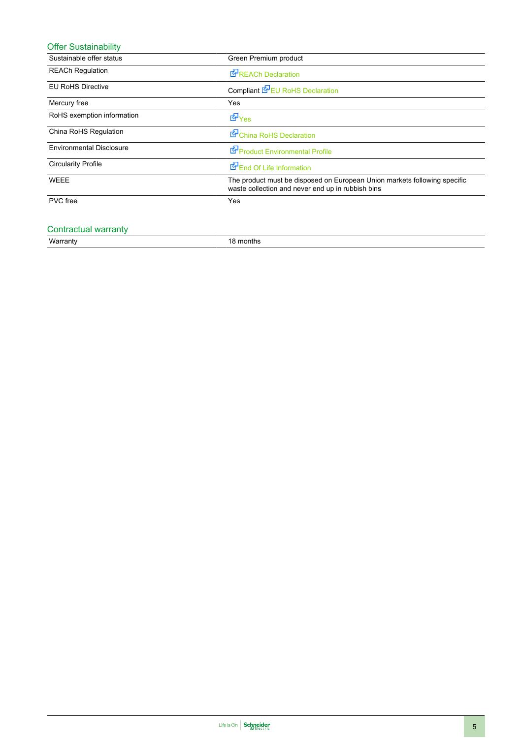| <b>Offer Sustainability</b>     |                                                                                                                                |  |
|---------------------------------|--------------------------------------------------------------------------------------------------------------------------------|--|
| Sustainable offer status        | Green Premium product                                                                                                          |  |
| <b>REACh Regulation</b>         | <b>REACh Declaration</b>                                                                                                       |  |
| <b>EU RoHS Directive</b>        | Compliant <b>E-</b> EU RoHS Declaration                                                                                        |  |
| Mercury free                    | Yes                                                                                                                            |  |
| RoHS exemption information      | $E_{\text{Yes}}$                                                                                                               |  |
| China RoHS Regulation           | <b>E</b> <sup>I</sup> China RoHS Declaration                                                                                   |  |
| <b>Environmental Disclosure</b> | Product Environmental Profile                                                                                                  |  |
| <b>Circularity Profile</b>      | End Of Life Information                                                                                                        |  |
| <b>WEEE</b>                     | The product must be disposed on European Union markets following specific<br>waste collection and never end up in rubbish bins |  |
| <b>PVC</b> free                 | Yes                                                                                                                            |  |

# Contractual warranty<br>Warranty

18 months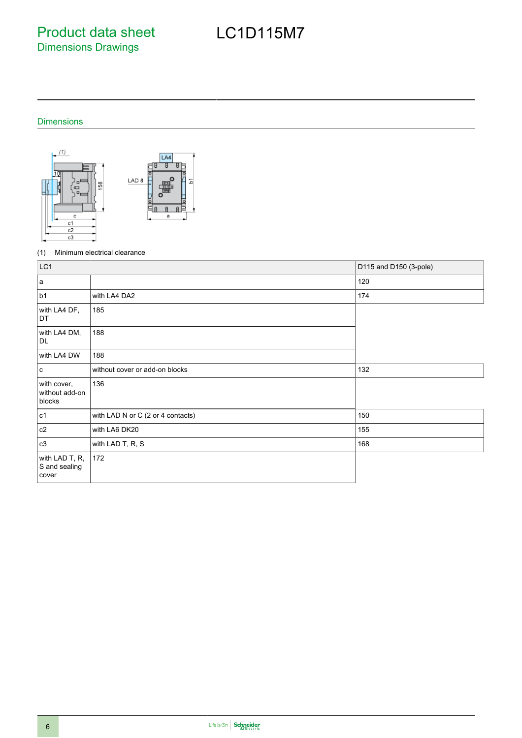Product data sheet Dimensions Drawings

## LC1D115M7

### Dimensions



### (1) Minimum electrical clearance

| LC <sub>1</sub>                          |                                   | D115 and D150 (3-pole) |
|------------------------------------------|-----------------------------------|------------------------|
| a                                        |                                   | 120                    |
| b <sub>1</sub>                           | with LA4 DA2                      | 174                    |
| with LA4 DF,<br>DT                       | 185                               |                        |
| with LA4 DM,<br>DL                       | 188                               |                        |
| with LA4 DW                              | 188                               |                        |
| $\mathsf{c}$                             | without cover or add-on blocks    | 132                    |
| with cover,<br>without add-on<br>blocks  | 136                               |                        |
| c1                                       | with LAD N or C (2 or 4 contacts) | 150                    |
| c2                                       | with LA6 DK20                     | 155                    |
| c3                                       | with LAD T, R, S                  | 168                    |
| with LAD T, R,<br>S and sealing<br>cover | 172                               |                        |